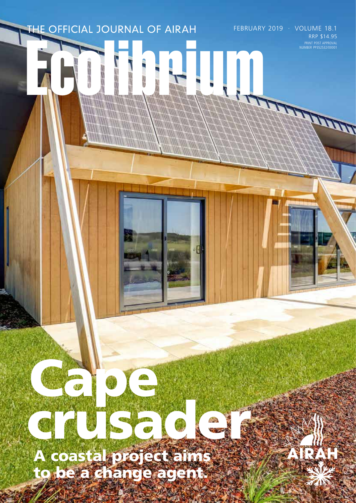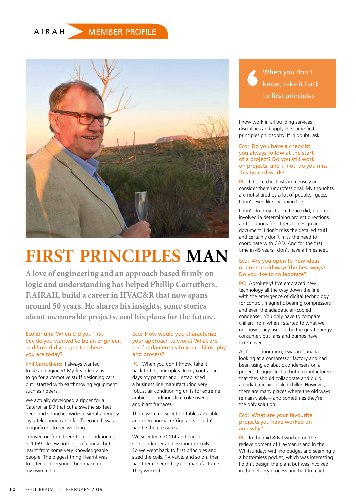# AIRAH MEMBER PROFILE



# **FIRST PRINCIPLES MAN**

**A love of engineering and an approach based firmly on logic and understanding has helped Phillip Carruthers, F.AIRAH, build a career in HVAC&R that now spans around 50 years. He shares his insights, some stories about memorable projects, and his plans for the future.**

# Ecolibrium: When did you first decide you wanted to be an engineer, and how did you get to where you are today?

Phil Carruthers: I always wanted to be an engineer! My first idea was to go for automotive stuff designing cars, but I started with earthmoving equipment such as rippers.

We actually developed a ripper for a Caterpillar D9 that cut a swathe six feet deep and six inches wide to simultaneously lay a telephone cable for Telecom. It was magnificent to see working.

I moved on from there to air conditioning in 1969. I knew nothing, of course, but learnt from some very knowledgeable people. The biggest thing I learnt was to listen to everyone, then make up my own mind.

# Eco: How would you characterise your approach to work? What are the fundamentals to your philosophy and process?

PC: When you don't know, take it back to first principles. In my contracting days my partner and I established a business line manufacturing very robust air conditioning units for extreme ambient conditions like coke ovens and blast furnaces.

There were no selection tables available, and even normal refrigerants couldn't handle the pressures.

We selected CFC114 and had to size condenser and evaporator coils. So we went back to first principles and sized the coils, TX valve, and so on, then had them checked by coil manufacturers. They worked.

When you don't know, take it back to first principles

I now work in all building services disciplines and apply the same first principles philosophy. If in doubt, ask.

#### Eco: Do you have a checklist you always follow at the start of a project? Do you still work on projects, and if not, do you miss this type of work?

PC: I dislike checklists immensely and consider them unprofessional. My thoughts are not shared by a lot of people, I guess. I don't even like shopping lists.

I don't do projects like I once did, but I get involved in determining project directions and solutions for others to design and document. I don't miss the detailed stuff and certainly don't miss the need to coordinate with CAD. And for the first time in 45 years I don't have a timesheet.

#### Eco: Are you open to new ideas, or are the old ways the best ways? Do you like to collaborate?

PC: Absolutely! I've embraced new technology all the way down the line with the emergence of digital technology for control, magnetic bearing compressors, and even the adiabatic air-cooled condenser. You only have to compare chillers from when I started to what we get now. They used to be the great energy consumer, but fans and pumps have taken over.

As for collaboration, I was in Canada looking at a compressor factory and had been using adiabatic condensers on a project. I suggested to both manufacturers that they should collaborate and build an adiabatic air-cooled chiller. However, there are many places where the old ways remain viable – and sometimes they're the only solution.

#### Eco: What are your favourite projects you have worked on and why?

PC: In the mid 80s I worked on the redevelopment of Hayman Island in the Whitsundays with no budget and seemingly a bottomless pocket, which was interesting. I didn't design the plant but was involved in the delivery process and had to react